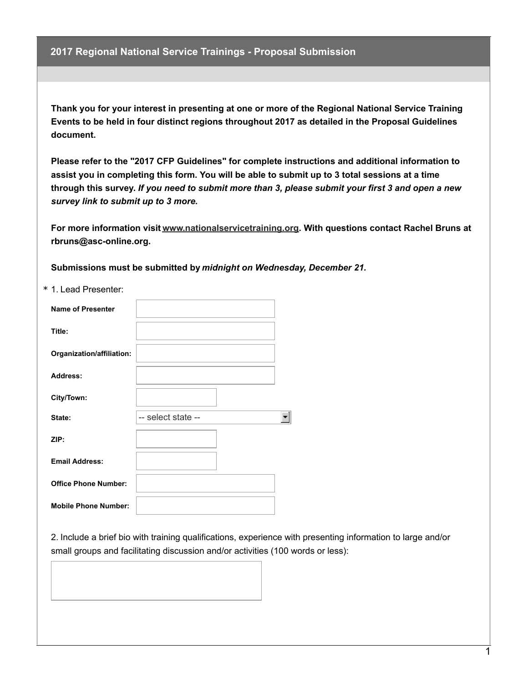**Thank you for your interest in presenting at one or more of the Regional National Service Training Events to be held in four distinct regions throughout 2017 as detailed in the Proposal Guidelines document.**

**Please refer to the "2017 CFP Guidelines" for complete instructions and additional information to** assist you in completing this form. You will be able to submit up to 3 total sessions at a time through this survey. If you need to submit more than 3, please submit your first 3 and open a new *survey link to submit up to 3 more.*

**For more information visit [www.nationalservicetraining.org](http://www.nationalservicetraining.org). With questions contact Rachel Bruns at rbruns@asc-online.org.**

**Submissions must be submitted by** *midnight on Wednesday, December 21.*

\* 1. Lead Presenter:

| <b>Name of Presenter</b>    |                    |
|-----------------------------|--------------------|
| Title:                      |                    |
| Organization/affiliation:   |                    |
| <b>Address:</b>             |                    |
| City/Town:                  |                    |
| State:                      | -- select state -- |
| ZIP:                        |                    |
| <b>Email Address:</b>       |                    |
| <b>Office Phone Number:</b> |                    |
| <b>Mobile Phone Number:</b> |                    |

2. Include a brief bio with training qualifications, experience with presenting information to large and/or small groups and facilitating discussion and/or activities (100 words or less):

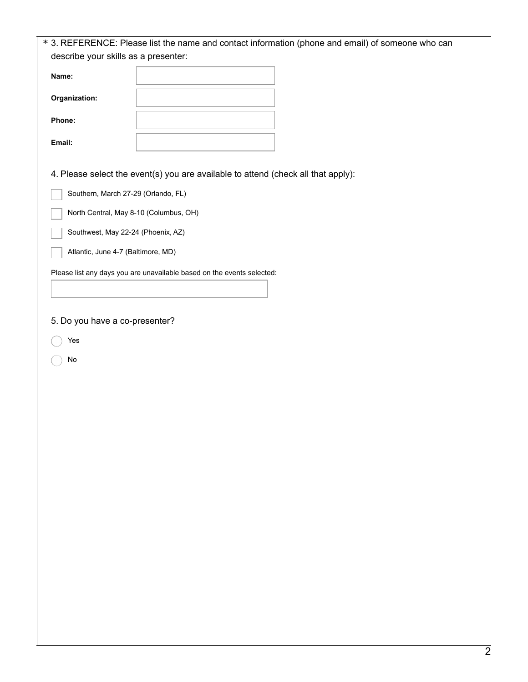|                                        | * 3. REFERENCE: Please list the name and contact information (phone and email) of someone who can |
|----------------------------------------|---------------------------------------------------------------------------------------------------|
| describe your skills as a presenter:   |                                                                                                   |
| Name:                                  |                                                                                                   |
| Organization:                          |                                                                                                   |
| Phone:                                 |                                                                                                   |
| Email:                                 |                                                                                                   |
|                                        | 4. Please select the event(s) you are available to attend (check all that apply):                 |
| Southern, March 27-29 (Orlando, FL)    |                                                                                                   |
| North Central, May 8-10 (Columbus, OH) |                                                                                                   |
| Southwest, May 22-24 (Phoenix, AZ)     |                                                                                                   |
| Atlantic, June 4-7 (Baltimore, MD)     |                                                                                                   |
|                                        | Please list any days you are unavailable based on the events selected:                            |
|                                        |                                                                                                   |
| 5. Do you have a co-presenter?         |                                                                                                   |
| Yes                                    |                                                                                                   |
| No                                     |                                                                                                   |
|                                        |                                                                                                   |
|                                        |                                                                                                   |
|                                        |                                                                                                   |
|                                        |                                                                                                   |
|                                        |                                                                                                   |
|                                        |                                                                                                   |
|                                        |                                                                                                   |
|                                        |                                                                                                   |
|                                        |                                                                                                   |
|                                        |                                                                                                   |
|                                        |                                                                                                   |
|                                        |                                                                                                   |
|                                        |                                                                                                   |
|                                        |                                                                                                   |
|                                        |                                                                                                   |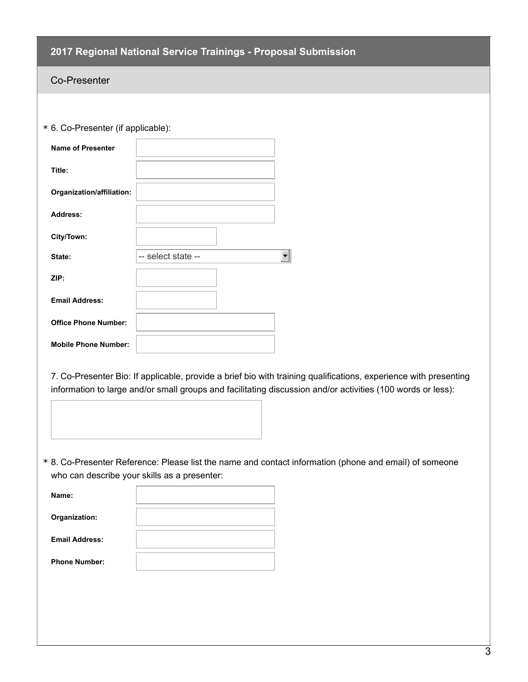### Co-Presenter

\* 6. Co-Presenter (if applicable):

| <b>Name of Presenter</b>    |                    |
|-----------------------------|--------------------|
| Title:                      |                    |
| Organization/affiliation:   |                    |
| Address:                    |                    |
| City/Town:                  |                    |
| State:                      | -- select state -- |
| ZIP:                        |                    |
| <b>Email Address:</b>       |                    |
| <b>Office Phone Number:</b> |                    |
| <b>Mobile Phone Number:</b> |                    |

7. Co-Presenter Bio: If applicable, provide a brief bio with training qualifications, experience with presenting information to large and/or small groups and facilitating discussion and/or activities (100 words or less):



8. Co-Presenter Reference: Please list the name and contact information (phone and email) of someone \* who can describe your skills as a presenter:

| Name:                 |  |
|-----------------------|--|
| Organization:         |  |
| <b>Email Address:</b> |  |
| <b>Phone Number:</b>  |  |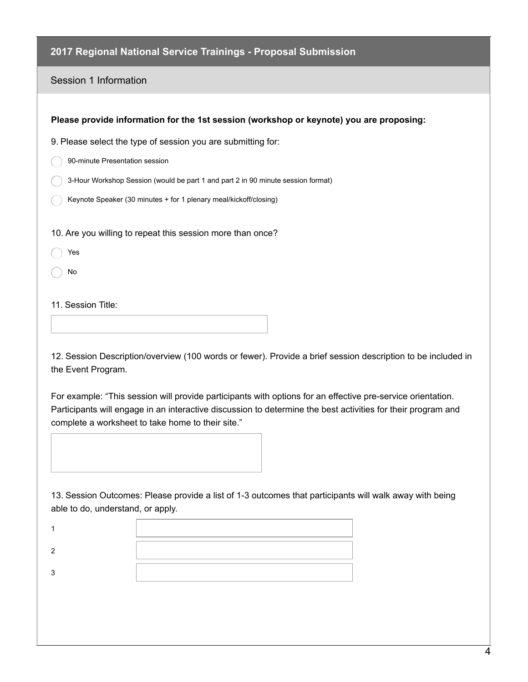Session 1 Information

| Please provide information for the 1st session (workshop or keynote) you are proposing: |
|-----------------------------------------------------------------------------------------|
| 9. Please select the type of session you are submitting for:                            |
| 90-minute Presentation session                                                          |
| 3-Hour Workshop Session (would be part 1 and part 2 in 90 minute session format)        |
| Keynote Speaker (30 minutes + for 1 plenary meal/kickoff/closing)                       |
|                                                                                         |
| 10. Are you willing to repeat this session more than once?                              |
| Yes                                                                                     |
| No                                                                                      |
|                                                                                         |
| 11. Session Title:                                                                      |
|                                                                                         |

12. Session Description/overview (100 words or fewer). Provide a brief session description to be included in the Event Program.

For example: "This session will provide participants with options for an effective pre-service orientation. Participants will engage in an interactive discussion to determine the best activities for their program and complete a worksheet to take home to their site."



13. Session Outcomes: Please provide a list of 1-3 outcomes that participants will walk away with being able to do, understand, or apply.

| the contract of the contract of the contract of the contract of the contract of the contract of the contract of |
|-----------------------------------------------------------------------------------------------------------------|
|                                                                                                                 |
|                                                                                                                 |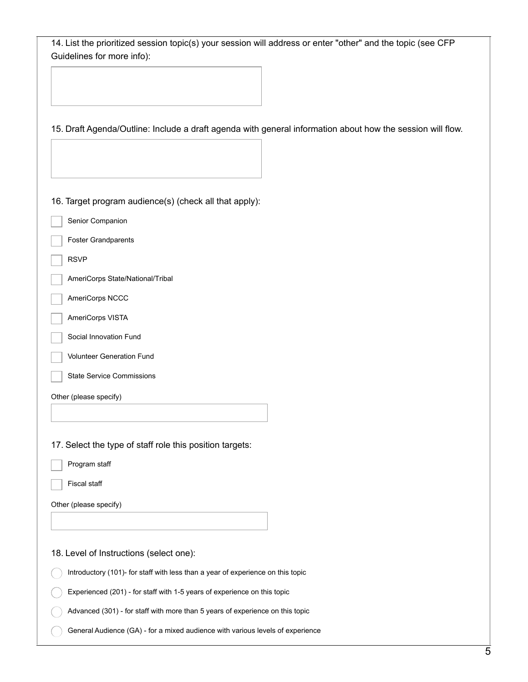| 14. List the prioritized session topic(s) your session will address or enter "other" and the topic (see CFP<br>Guidelines for more info): |
|-------------------------------------------------------------------------------------------------------------------------------------------|
|                                                                                                                                           |
|                                                                                                                                           |
|                                                                                                                                           |
| 15. Draft Agenda/Outline: Include a draft agenda with general information about how the session will flow.                                |
|                                                                                                                                           |
|                                                                                                                                           |
|                                                                                                                                           |
| 16. Target program audience(s) (check all that apply):                                                                                    |
| Senior Companion                                                                                                                          |
| <b>Foster Grandparents</b>                                                                                                                |
| <b>RSVP</b>                                                                                                                               |
| AmeriCorps State/National/Tribal                                                                                                          |
| AmeriCorps NCCC                                                                                                                           |
| AmeriCorps VISTA                                                                                                                          |
| Social Innovation Fund                                                                                                                    |
| Volunteer Generation Fund                                                                                                                 |
| <b>State Service Commissions</b>                                                                                                          |
| Other (please specify)                                                                                                                    |
|                                                                                                                                           |
|                                                                                                                                           |
| 17. Select the type of staff role this position targets:                                                                                  |
| Program staff                                                                                                                             |
| <b>Fiscal staff</b>                                                                                                                       |
| Other (please specify)                                                                                                                    |
|                                                                                                                                           |
| 18. Level of Instructions (select one):                                                                                                   |
| Introductory (101)- for staff with less than a year of experience on this topic                                                           |
| Experienced (201) - for staff with 1-5 years of experience on this topic                                                                  |
| Advanced (301) - for staff with more than 5 years of experience on this topic                                                             |
| General Audience (GA) - for a mixed audience with various levels of experience                                                            |
|                                                                                                                                           |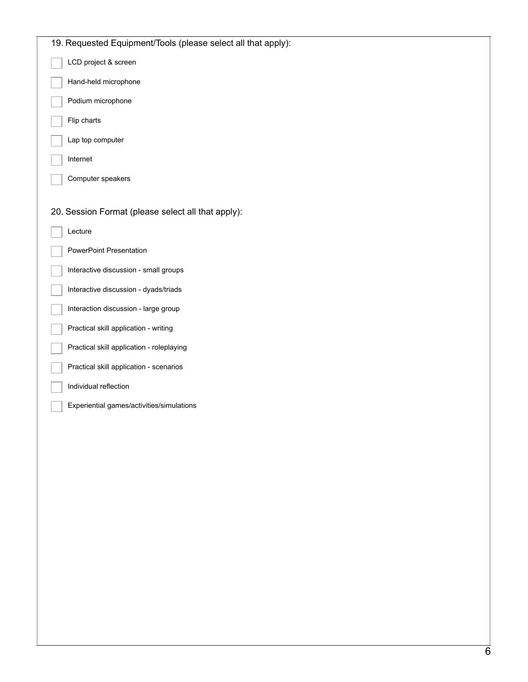| 19. Requested Equipment/Tools (please select all that apply): |
|---------------------------------------------------------------|
| LCD project & screen                                          |
| Hand-held microphone                                          |
| Podium microphone                                             |
| Flip charts                                                   |
| Lap top computer                                              |
| Internet                                                      |
| Computer speakers                                             |
|                                                               |
| 20. Session Format (please select all that apply):            |
| Lecture                                                       |
| PowerPoint Presentation                                       |
| Interactive discussion - small groups                         |
| Interactive discussion - dyads/triads                         |
| Interaction discussion - large group                          |
| Practical skill application - writing                         |
| Practical skill application - roleplaying                     |
| Practical skill application - scenarios                       |
| Individual reflection                                         |
| Experiential games/activities/simulations                     |
|                                                               |
|                                                               |
|                                                               |
|                                                               |
|                                                               |
|                                                               |
|                                                               |
|                                                               |
|                                                               |
|                                                               |
|                                                               |
|                                                               |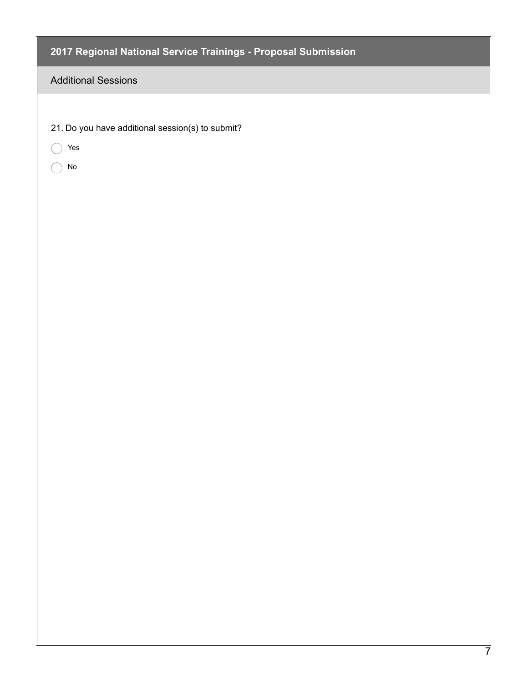## Additional Sessions

- 21. Do you have additional session(s) to submit?
- C Yes
- No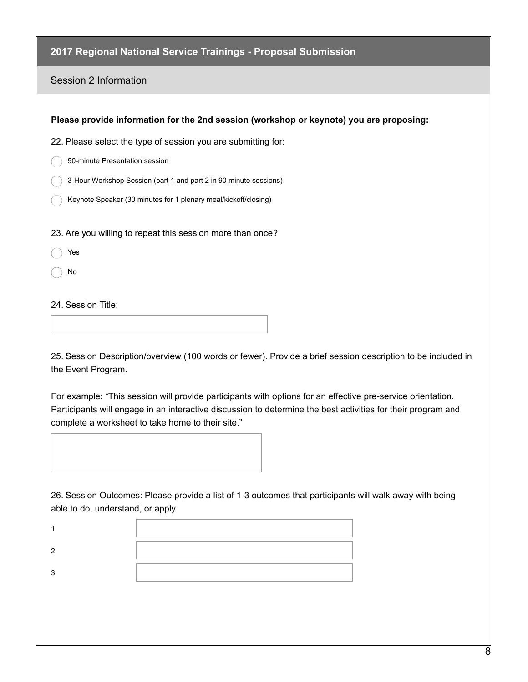Session 2 Information

| Please provide information for the 2nd session (workshop or keynote) you are proposing: |
|-----------------------------------------------------------------------------------------|
| 22. Please select the type of session you are submitting for:                           |
| 90-minute Presentation session                                                          |
| 3-Hour Workshop Session (part 1 and part 2 in 90 minute sessions)                       |
| Keynote Speaker (30 minutes for 1 plenary meal/kickoff/closing)                         |
| 23. Are you willing to repeat this session more than once?<br>Yes<br>No                 |
| 24. Session Title:                                                                      |

25. Session Description/overview (100 words or fewer). Provide a brief session description to be included in the Event Program.

For example: "This session will provide participants with options for an effective pre-service orientation. Participants will engage in an interactive discussion to determine the best activities for their program and complete a worksheet to take home to their site."



26. Session Outcomes: Please provide a list of 1-3 outcomes that participants will walk away with being able to do, understand, or apply.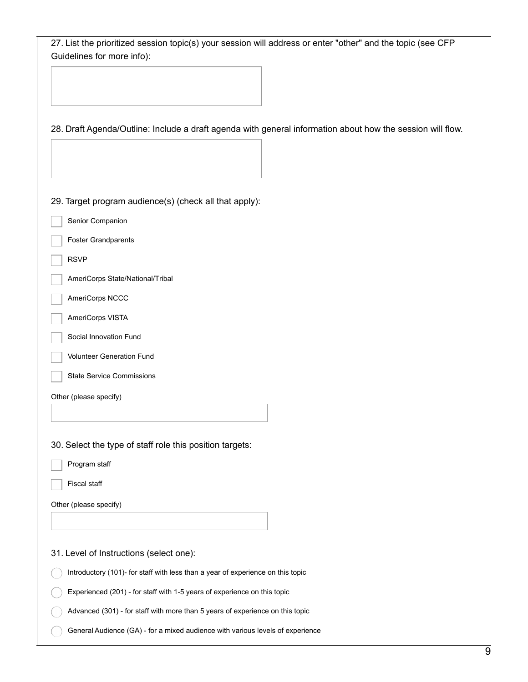| 27. List the prioritized session topic(s) your session will address or enter "other" and the topic (see CFP<br>Guidelines for more info): |
|-------------------------------------------------------------------------------------------------------------------------------------------|
|                                                                                                                                           |
|                                                                                                                                           |
|                                                                                                                                           |
| 28. Draft Agenda/Outline: Include a draft agenda with general information about how the session will flow.                                |
|                                                                                                                                           |
|                                                                                                                                           |
|                                                                                                                                           |
| 29. Target program audience(s) (check all that apply):                                                                                    |
| Senior Companion                                                                                                                          |
| <b>Foster Grandparents</b>                                                                                                                |
| <b>RSVP</b>                                                                                                                               |
| AmeriCorps State/National/Tribal                                                                                                          |
| AmeriCorps NCCC                                                                                                                           |
| AmeriCorps VISTA                                                                                                                          |
| Social Innovation Fund                                                                                                                    |
| Volunteer Generation Fund                                                                                                                 |
| <b>State Service Commissions</b>                                                                                                          |
| Other (please specify)                                                                                                                    |
|                                                                                                                                           |
|                                                                                                                                           |
| 30. Select the type of staff role this position targets:                                                                                  |
| Program staff                                                                                                                             |
| Fiscal staff                                                                                                                              |
| Other (please specify)                                                                                                                    |
|                                                                                                                                           |
| 31. Level of Instructions (select one):                                                                                                   |
| Introductory (101)- for staff with less than a year of experience on this topic                                                           |
| Experienced (201) - for staff with 1-5 years of experience on this topic                                                                  |
| Advanced (301) - for staff with more than 5 years of experience on this topic                                                             |
| General Audience (GA) - for a mixed audience with various levels of experience                                                            |
|                                                                                                                                           |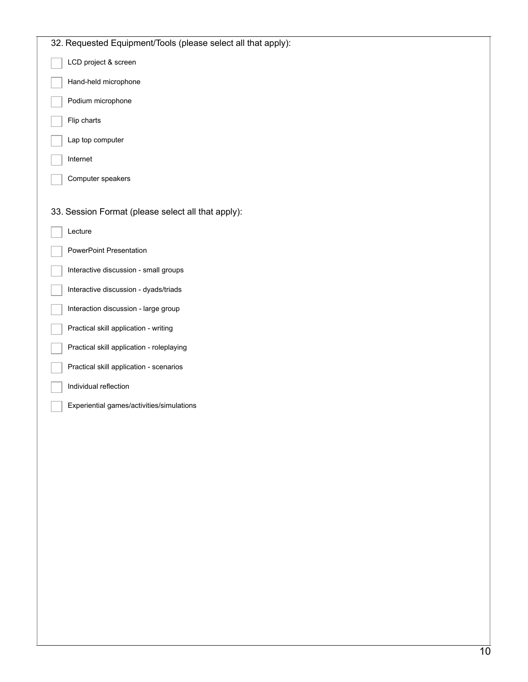| 32. Requested Equipment/Tools (please select all that apply): |
|---------------------------------------------------------------|
| LCD project & screen                                          |
| Hand-held microphone                                          |
| Podium microphone                                             |
| Flip charts                                                   |
| Lap top computer                                              |
| Internet                                                      |
| Computer speakers                                             |
|                                                               |
| 33. Session Format (please select all that apply):            |
| Lecture                                                       |
| PowerPoint Presentation                                       |
| Interactive discussion - small groups                         |
| Interactive discussion - dyads/triads                         |
| Interaction discussion - large group                          |
| Practical skill application - writing                         |
| Practical skill application - roleplaying                     |
| Practical skill application - scenarios                       |
| Individual reflection                                         |
| Experiential games/activities/simulations                     |
|                                                               |
|                                                               |
|                                                               |
|                                                               |
|                                                               |
|                                                               |
|                                                               |
|                                                               |
|                                                               |
|                                                               |
|                                                               |
|                                                               |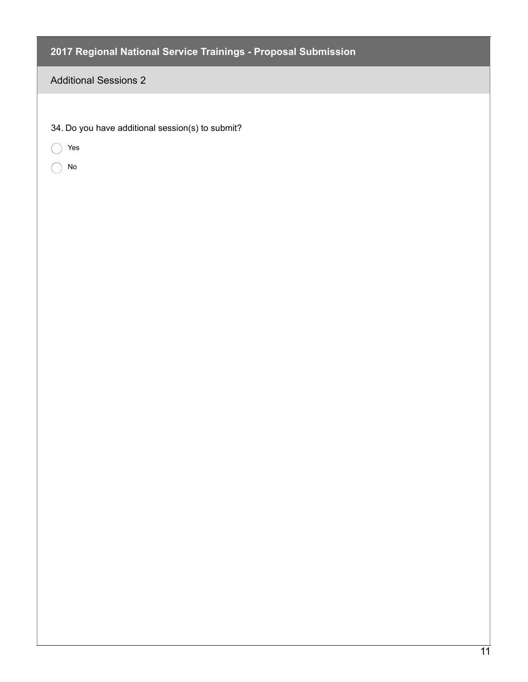### Additional Sessions 2

|  | 34. Do you have additional session(s) to submit? |  |  |
|--|--------------------------------------------------|--|--|
|  |                                                  |  |  |
|  |                                                  |  |  |

- Yes
- No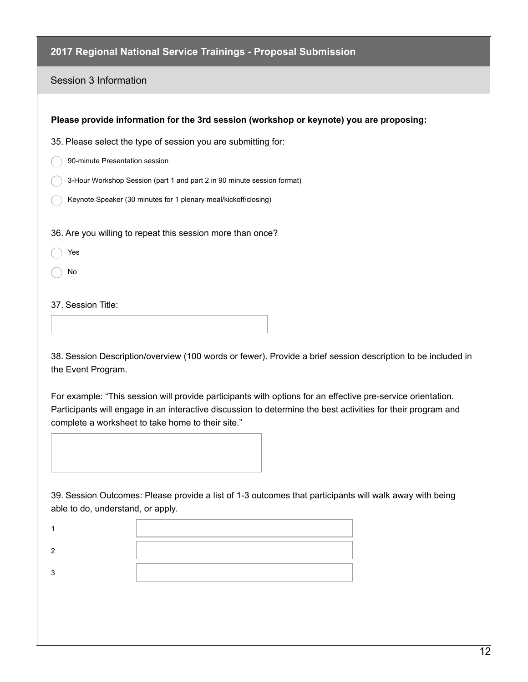#### Session 3 Information

38. Session Description/overview (100 words or fewer). Provide a brief session description to be included in the Event Program.

For example: "This session will provide participants with options for an effective pre-service orientation. Participants will engage in an interactive discussion to determine the best activities for their program and complete a worksheet to take home to their site."



39. Session Outcomes: Please provide a list of 1-3 outcomes that participants will walk away with being able to do, understand, or apply.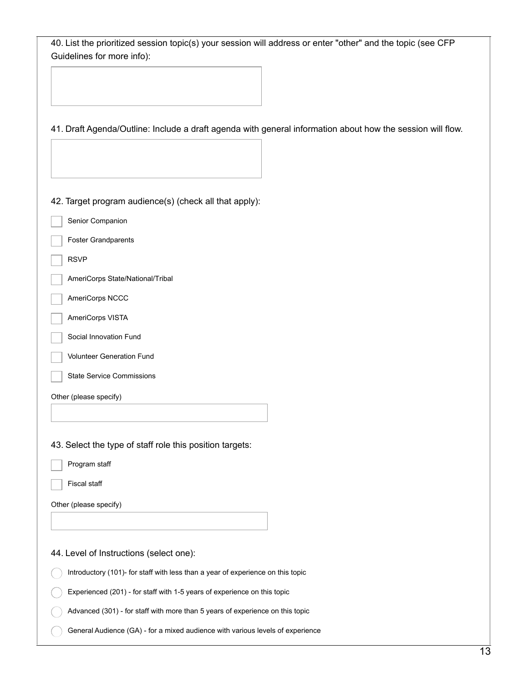| 40. List the prioritized session topic(s) your session will address or enter "other" and the topic (see CFP<br>Guidelines for more info): |
|-------------------------------------------------------------------------------------------------------------------------------------------|
|                                                                                                                                           |
|                                                                                                                                           |
|                                                                                                                                           |
| 41. Draft Agenda/Outline: Include a draft agenda with general information about how the session will flow.                                |
|                                                                                                                                           |
|                                                                                                                                           |
| 42. Target program audience(s) (check all that apply):                                                                                    |
| Senior Companion                                                                                                                          |
| <b>Foster Grandparents</b>                                                                                                                |
| <b>RSVP</b>                                                                                                                               |
| AmeriCorps State/National/Tribal                                                                                                          |
| AmeriCorps NCCC                                                                                                                           |
| AmeriCorps VISTA                                                                                                                          |
| Social Innovation Fund                                                                                                                    |
| Volunteer Generation Fund                                                                                                                 |
| <b>State Service Commissions</b>                                                                                                          |
| Other (please specify)                                                                                                                    |
|                                                                                                                                           |
| 43. Select the type of staff role this position targets:                                                                                  |
| Program staff                                                                                                                             |
| <b>Fiscal staff</b>                                                                                                                       |
| Other (please specify)                                                                                                                    |
|                                                                                                                                           |
|                                                                                                                                           |
| 44. Level of Instructions (select one):                                                                                                   |
| Introductory (101)- for staff with less than a year of experience on this topic                                                           |
| Experienced (201) - for staff with 1-5 years of experience on this topic                                                                  |
| Advanced (301) - for staff with more than 5 years of experience on this topic                                                             |
| General Audience (GA) - for a mixed audience with various levels of experience                                                            |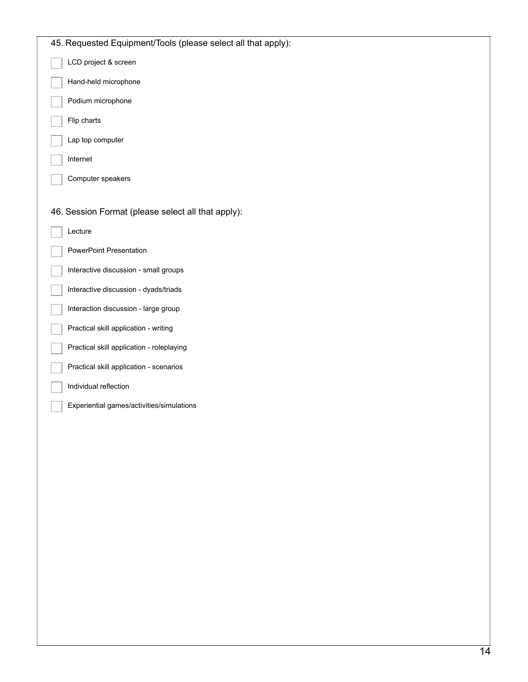| 45. Requested Equipment/Tools (please select all that apply): |
|---------------------------------------------------------------|
| LCD project & screen                                          |
| Hand-held microphone                                          |
| Podium microphone                                             |
| Flip charts                                                   |
| Lap top computer                                              |
| Internet                                                      |
| Computer speakers                                             |
|                                                               |
| 46. Session Format (please select all that apply):            |
| Lecture                                                       |
| PowerPoint Presentation                                       |
| Interactive discussion - small groups                         |
| Interactive discussion - dyads/triads                         |
| Interaction discussion - large group                          |
| Practical skill application - writing                         |
| Practical skill application - roleplaying                     |
| Practical skill application - scenarios                       |
| Individual reflection                                         |
| Experiential games/activities/simulations                     |
|                                                               |
|                                                               |
|                                                               |
|                                                               |
|                                                               |
|                                                               |
|                                                               |
|                                                               |
|                                                               |
|                                                               |
|                                                               |
|                                                               |